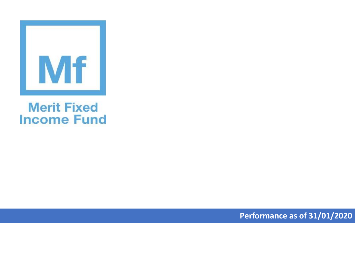

## **Merit Fixed Income Fund**

**Performance as of 31/01/2020**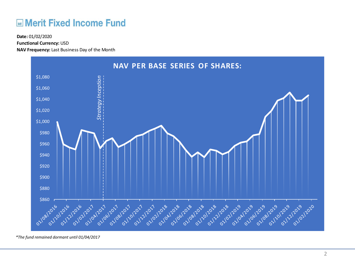## **ME Merit Fixed Income Fund**

**Functional Currency:** USD

**NAV Frequency:** Last Business Day of the Month